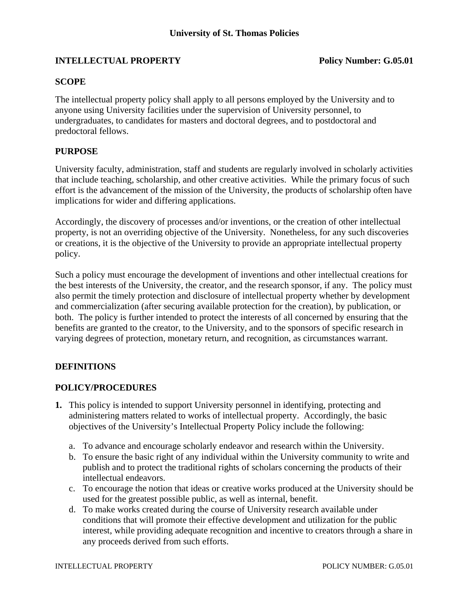# **INTELLECTUAL PROPERTY** Policy Number: G.05.01

### **SCOPE**

The intellectual property policy shall apply to all persons employed by the University and to anyone using University facilities under the supervision of University personnel, to undergraduates, to candidates for masters and doctoral degrees, and to postdoctoral and predoctoral fellows.

### **PURPOSE**

University faculty, administration, staff and students are regularly involved in scholarly activities that include teaching, scholarship, and other creative activities. While the primary focus of such effort is the advancement of the mission of the University, the products of scholarship often have implications for wider and differing applications.

Accordingly, the discovery of processes and/or inventions, or the creation of other intellectual property, is not an overriding objective of the University. Nonetheless, for any such discoveries or creations, it is the objective of the University to provide an appropriate intellectual property policy.

Such a policy must encourage the development of inventions and other intellectual creations for the best interests of the University, the creator, and the research sponsor, if any. The policy must also permit the timely protection and disclosure of intellectual property whether by development and commercialization (after securing available protection for the creation), by publication, or both. The policy is further intended to protect the interests of all concerned by ensuring that the benefits are granted to the creator, to the University, and to the sponsors of specific research in varying degrees of protection, monetary return, and recognition, as circumstances warrant.

## **DEFINITIONS**

#### **POLICY/PROCEDURES**

- **1.** This policy is intended to support University personnel in identifying, protecting and administering matters related to works of intellectual property. Accordingly, the basic objectives of the University's Intellectual Property Policy include the following:
	- a. To advance and encourage scholarly endeavor and research within the University.
	- b. To ensure the basic right of any individual within the University community to write and publish and to protect the traditional rights of scholars concerning the products of their intellectual endeavors.
	- c. To encourage the notion that ideas or creative works produced at the University should be used for the greatest possible public, as well as internal, benefit.
	- d. To make works created during the course of University research available under conditions that will promote their effective development and utilization for the public interest, while providing adequate recognition and incentive to creators through a share in any proceeds derived from such efforts.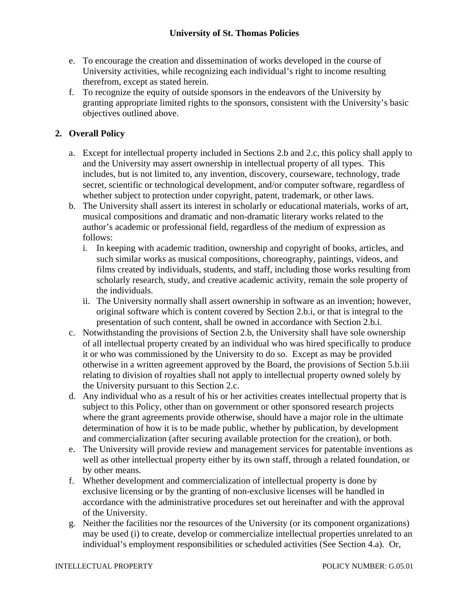- e. To encourage the creation and dissemination of works developed in the course of University activities, while recognizing each individual's right to income resulting therefrom, except as stated herein.
- f. To recognize the equity of outside sponsors in the endeavors of the University by granting appropriate limited rights to the sponsors, consistent with the University's basic objectives outlined above.

# **2. Overall Policy**

- a. Except for intellectual property included in Sections 2.b and 2.c, this policy shall apply to and the University may assert ownership in intellectual property of all types. This includes, but is not limited to, any invention, discovery, courseware, technology, trade secret, scientific or technological development, and/or computer software, regardless of whether subject to protection under copyright, patent, trademark, or other laws.
- b. The University shall assert its interest in scholarly or educational materials, works of art, musical compositions and dramatic and non-dramatic literary works related to the author's academic or professional field, regardless of the medium of expression as follows:
	- i. In keeping with academic tradition, ownership and copyright of books, articles, and such similar works as musical compositions, choreography, paintings, videos, and films created by individuals, students, and staff, including those works resulting from scholarly research, study, and creative academic activity, remain the sole property of the individuals.
	- ii. The University normally shall assert ownership in software as an invention; however, original software which is content covered by Section 2.b.i, or that is integral to the presentation of such content, shall be owned in accordance with Section 2.b.i.
- c. Notwithstanding the provisions of Section 2.b, the University shall have sole ownership of all intellectual property created by an individual who was hired specifically to produce it or who was commissioned by the University to do so. Except as may be provided otherwise in a written agreement approved by the Board, the provisions of Section 5.b.iii relating to division of royalties shall not apply to intellectual property owned solely by the University pursuant to this Section 2.c.
- d. Any individual who as a result of his or her activities creates intellectual property that is subject to this Policy, other than on government or other sponsored research projects where the grant agreements provide otherwise, should have a major role in the ultimate determination of how it is to be made public, whether by publication, by development and commercialization (after securing available protection for the creation), or both.
- e. The University will provide review and management services for patentable inventions as well as other intellectual property either by its own staff, through a related foundation, or by other means.
- f. Whether development and commercialization of intellectual property is done by exclusive licensing or by the granting of non-exclusive licenses will be handled in accordance with the administrative procedures set out hereinafter and with the approval of the University.
- g. Neither the facilities nor the resources of the University (or its component organizations) may be used (i) to create, develop or commercialize intellectual properties unrelated to an individual's employment responsibilities or scheduled activities (See Section 4.a). Or,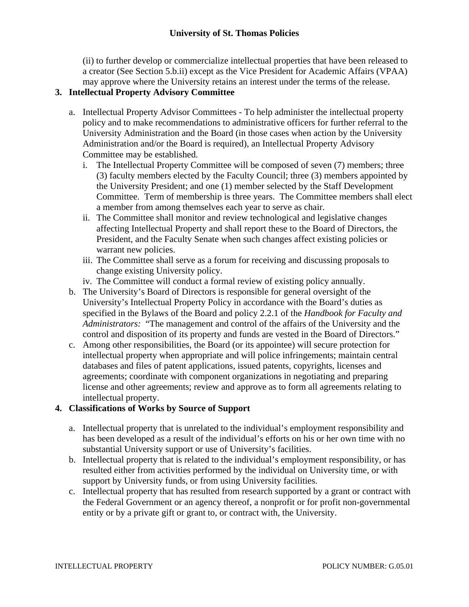(ii) to further develop or commercialize intellectual properties that have been released to a creator (See Section 5.b.ii) except as the Vice President for Academic Affairs (VPAA) may approve where the University retains an interest under the terms of the release.

# **3. Intellectual Property Advisory Committee**

- a. Intellectual Property Advisor Committees To help administer the intellectual property policy and to make recommendations to administrative officers for further referral to the University Administration and the Board (in those cases when action by the University Administration and/or the Board is required), an Intellectual Property Advisory Committee may be established.
	- i. The Intellectual Property Committee will be composed of seven (7) members; three (3) faculty members elected by the Faculty Council; three (3) members appointed by the University President; and one (1) member selected by the Staff Development Committee. Term of membership is three years. The Committee members shall elect a member from among themselves each year to serve as chair.
	- ii. The Committee shall monitor and review technological and legislative changes affecting Intellectual Property and shall report these to the Board of Directors, the President, and the Faculty Senate when such changes affect existing policies or warrant new policies.
	- iii. The Committee shall serve as a forum for receiving and discussing proposals to change existing University policy.
	- iv. The Committee will conduct a formal review of existing policy annually.
- b. The University's Board of Directors is responsible for general oversight of the University's Intellectual Property Policy in accordance with the Board's duties as specified in the Bylaws of the Board and policy 2.2.1 of the *Handbook for Faculty and Administrators:* "The management and control of the affairs of the University and the control and disposition of its property and funds are vested in the Board of Directors."
- c. Among other responsibilities, the Board (or its appointee) will secure protection for intellectual property when appropriate and will police infringements; maintain central databases and files of patent applications, issued patents, copyrights, licenses and agreements; coordinate with component organizations in negotiating and preparing license and other agreements; review and approve as to form all agreements relating to intellectual property.

## **4. Classifications of Works by Source of Support**

- a. Intellectual property that is unrelated to the individual's employment responsibility and has been developed as a result of the individual's efforts on his or her own time with no substantial University support or use of University's facilities.
- b. Intellectual property that is related to the individual's employment responsibility, or has resulted either from activities performed by the individual on University time, or with support by University funds, or from using University facilities.
- c. Intellectual property that has resulted from research supported by a grant or contract with the Federal Government or an agency thereof, a nonprofit or for profit non-governmental entity or by a private gift or grant to, or contract with, the University.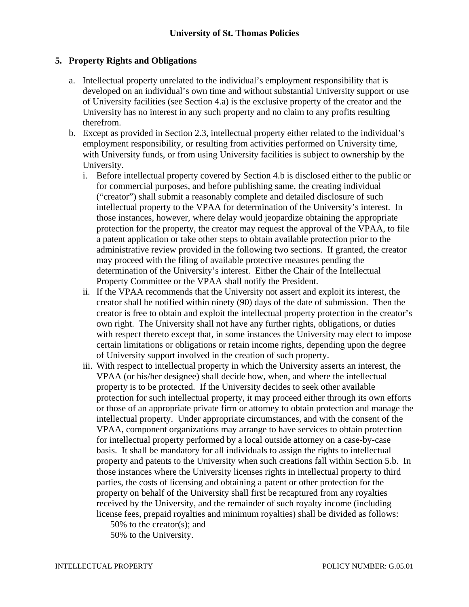### **5. Property Rights and Obligations**

- a. Intellectual property unrelated to the individual's employment responsibility that is developed on an individual's own time and without substantial University support or use of University facilities (see Section 4.a) is the exclusive property of the creator and the University has no interest in any such property and no claim to any profits resulting therefrom.
- b. Except as provided in Section 2.3, intellectual property either related to the individual's employment responsibility, or resulting from activities performed on University time, with University funds, or from using University facilities is subject to ownership by the University.
	- i. Before intellectual property covered by Section 4.b is disclosed either to the public or for commercial purposes, and before publishing same, the creating individual ("creator") shall submit a reasonably complete and detailed disclosure of such intellectual property to the VPAA for determination of the University's interest. In those instances, however, where delay would jeopardize obtaining the appropriate protection for the property, the creator may request the approval of the VPAA, to file a patent application or take other steps to obtain available protection prior to the administrative review provided in the following two sections. If granted, the creator may proceed with the filing of available protective measures pending the determination of the University's interest. Either the Chair of the Intellectual Property Committee or the VPAA shall notify the President.
	- ii. If the VPAA recommends that the University not assert and exploit its interest, the creator shall be notified within ninety (90) days of the date of submission. Then the creator is free to obtain and exploit the intellectual property protection in the creator's own right. The University shall not have any further rights, obligations, or duties with respect thereto except that, in some instances the University may elect to impose certain limitations or obligations or retain income rights, depending upon the degree of University support involved in the creation of such property.
	- iii. With respect to intellectual property in which the University asserts an interest, the VPAA (or his/her designee) shall decide how, when, and where the intellectual property is to be protected. If the University decides to seek other available protection for such intellectual property, it may proceed either through its own efforts or those of an appropriate private firm or attorney to obtain protection and manage the intellectual property. Under appropriate circumstances, and with the consent of the VPAA, component organizations may arrange to have services to obtain protection for intellectual property performed by a local outside attorney on a case-by-case basis. It shall be mandatory for all individuals to assign the rights to intellectual property and patents to the University when such creations fall within Section 5.b. In those instances where the University licenses rights in intellectual property to third parties, the costs of licensing and obtaining a patent or other protection for the property on behalf of the University shall first be recaptured from any royalties received by the University, and the remainder of such royalty income (including license fees, prepaid royalties and minimum royalties) shall be divided as follows:

50% to the creator(s); and

50% to the University.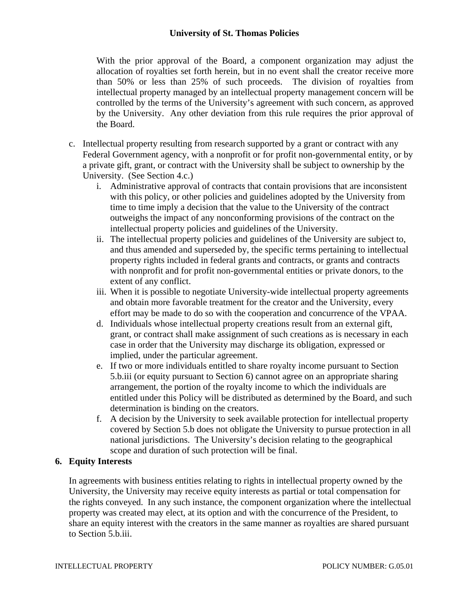## **University of St. Thomas Policies**

With the prior approval of the Board, a component organization may adjust the allocation of royalties set forth herein, but in no event shall the creator receive more than 50% or less than 25% of such proceeds. The division of royalties from intellectual property managed by an intellectual property management concern will be controlled by the terms of the University's agreement with such concern, as approved by the University. Any other deviation from this rule requires the prior approval of the Board.

- c. Intellectual property resulting from research supported by a grant or contract with any Federal Government agency, with a nonprofit or for profit non-governmental entity, or by a private gift, grant, or contract with the University shall be subject to ownership by the University. (See Section 4.c.)
	- i. Administrative approval of contracts that contain provisions that are inconsistent with this policy, or other policies and guidelines adopted by the University from time to time imply a decision that the value to the University of the contract outweighs the impact of any nonconforming provisions of the contract on the intellectual property policies and guidelines of the University.
	- ii. The intellectual property policies and guidelines of the University are subject to, and thus amended and superseded by, the specific terms pertaining to intellectual property rights included in federal grants and contracts, or grants and contracts with nonprofit and for profit non-governmental entities or private donors, to the extent of any conflict.
	- iii. When it is possible to negotiate University-wide intellectual property agreements and obtain more favorable treatment for the creator and the University, every effort may be made to do so with the cooperation and concurrence of the VPAA.
	- d. Individuals whose intellectual property creations result from an external gift, grant, or contract shall make assignment of such creations as is necessary in each case in order that the University may discharge its obligation, expressed or implied, under the particular agreement.
	- e. If two or more individuals entitled to share royalty income pursuant to Section 5.b.iii (or equity pursuant to Section 6) cannot agree on an appropriate sharing arrangement, the portion of the royalty income to which the individuals are entitled under this Policy will be distributed as determined by the Board, and such determination is binding on the creators.
	- f. A decision by the University to seek available protection for intellectual property covered by Section 5.b does not obligate the University to pursue protection in all national jurisdictions. The University's decision relating to the geographical scope and duration of such protection will be final.

## **6. Equity Interests**

In agreements with business entities relating to rights in intellectual property owned by the University, the University may receive equity interests as partial or total compensation for the rights conveyed. In any such instance, the component organization where the intellectual property was created may elect, at its option and with the concurrence of the President, to share an equity interest with the creators in the same manner as royalties are shared pursuant to Section 5.b.iii.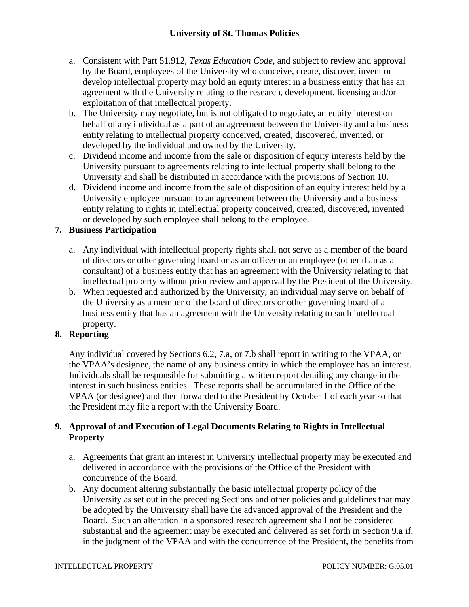- a. Consistent with Part 51.912, *Texas Education Code*, and subject to review and approval by the Board, employees of the University who conceive, create, discover, invent or develop intellectual property may hold an equity interest in a business entity that has an agreement with the University relating to the research, development, licensing and/or exploitation of that intellectual property.
- b. The University may negotiate, but is not obligated to negotiate, an equity interest on behalf of any individual as a part of an agreement between the University and a business entity relating to intellectual property conceived, created, discovered, invented, or developed by the individual and owned by the University.
- c. Dividend income and income from the sale or disposition of equity interests held by the University pursuant to agreements relating to intellectual property shall belong to the University and shall be distributed in accordance with the provisions of Section 10.
- d. Dividend income and income from the sale of disposition of an equity interest held by a University employee pursuant to an agreement between the University and a business entity relating to rights in intellectual property conceived, created, discovered, invented or developed by such employee shall belong to the employee.

# **7. Business Participation**

- a. Any individual with intellectual property rights shall not serve as a member of the board of directors or other governing board or as an officer or an employee (other than as a consultant) of a business entity that has an agreement with the University relating to that intellectual property without prior review and approval by the President of the University.
- b. When requested and authorized by the University, an individual may serve on behalf of the University as a member of the board of directors or other governing board of a business entity that has an agreement with the University relating to such intellectual property.

# **8. Reporting**

Any individual covered by Sections 6.2, 7.a, or 7.b shall report in writing to the VPAA, or the VPAA's designee, the name of any business entity in which the employee has an interest. Individuals shall be responsible for submitting a written report detailing any change in the interest in such business entities. These reports shall be accumulated in the Office of the VPAA (or designee) and then forwarded to the President by October 1 of each year so that the President may file a report with the University Board.

## **9. Approval of and Execution of Legal Documents Relating to Rights in Intellectual Property**

- a. Agreements that grant an interest in University intellectual property may be executed and delivered in accordance with the provisions of the Office of the President with concurrence of the Board.
- b. Any document altering substantially the basic intellectual property policy of the University as set out in the preceding Sections and other policies and guidelines that may be adopted by the University shall have the advanced approval of the President and the Board. Such an alteration in a sponsored research agreement shall not be considered substantial and the agreement may be executed and delivered as set forth in Section 9.a if, in the judgment of the VPAA and with the concurrence of the President, the benefits from